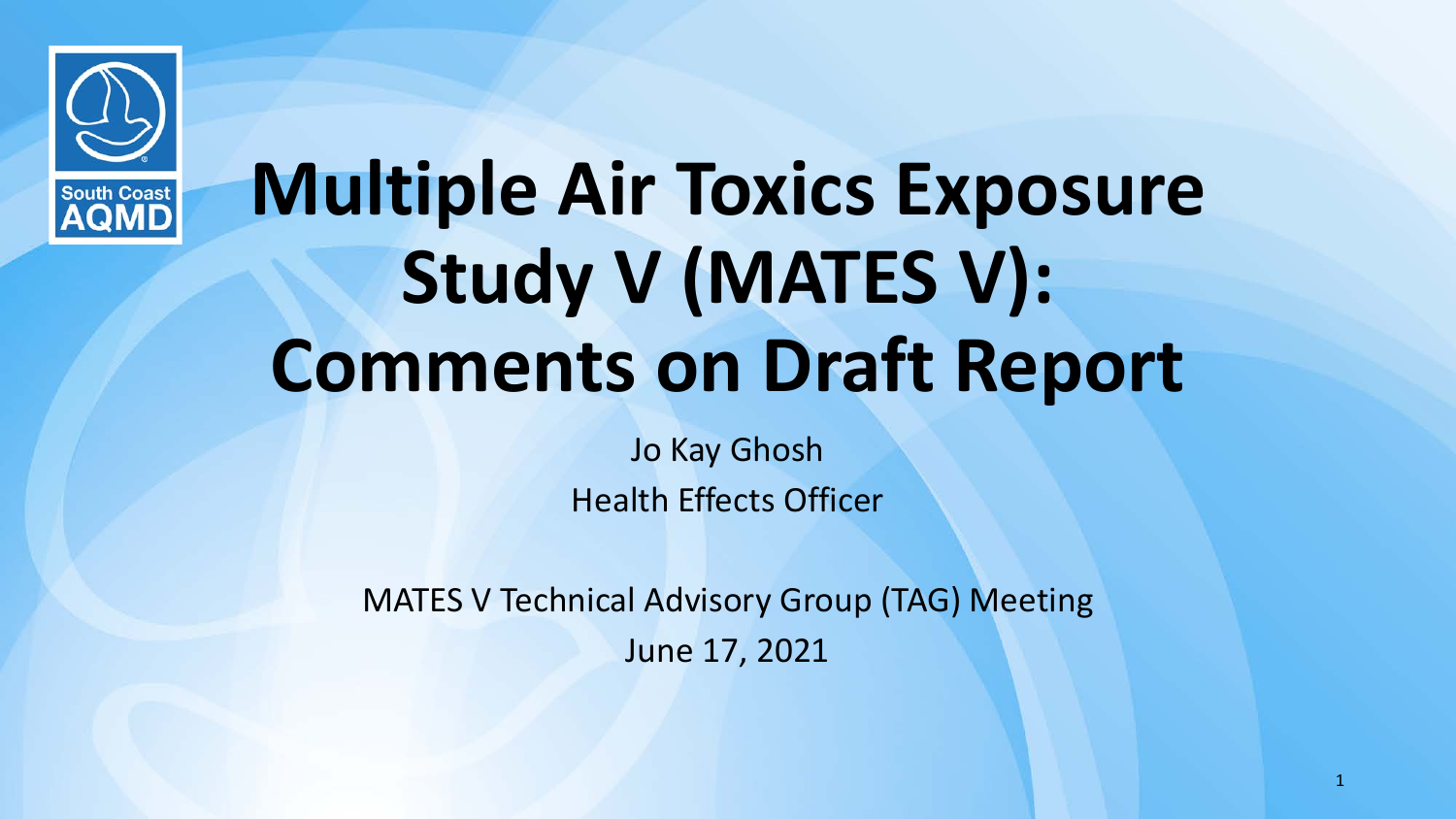

# **Multiple Air Toxics Exposure Study V (MATES V): Comments on Draft Report**

Jo Kay Ghosh Health Effects Officer

MATES V Technical Advisory Group (TAG) Meeting June 17, 2021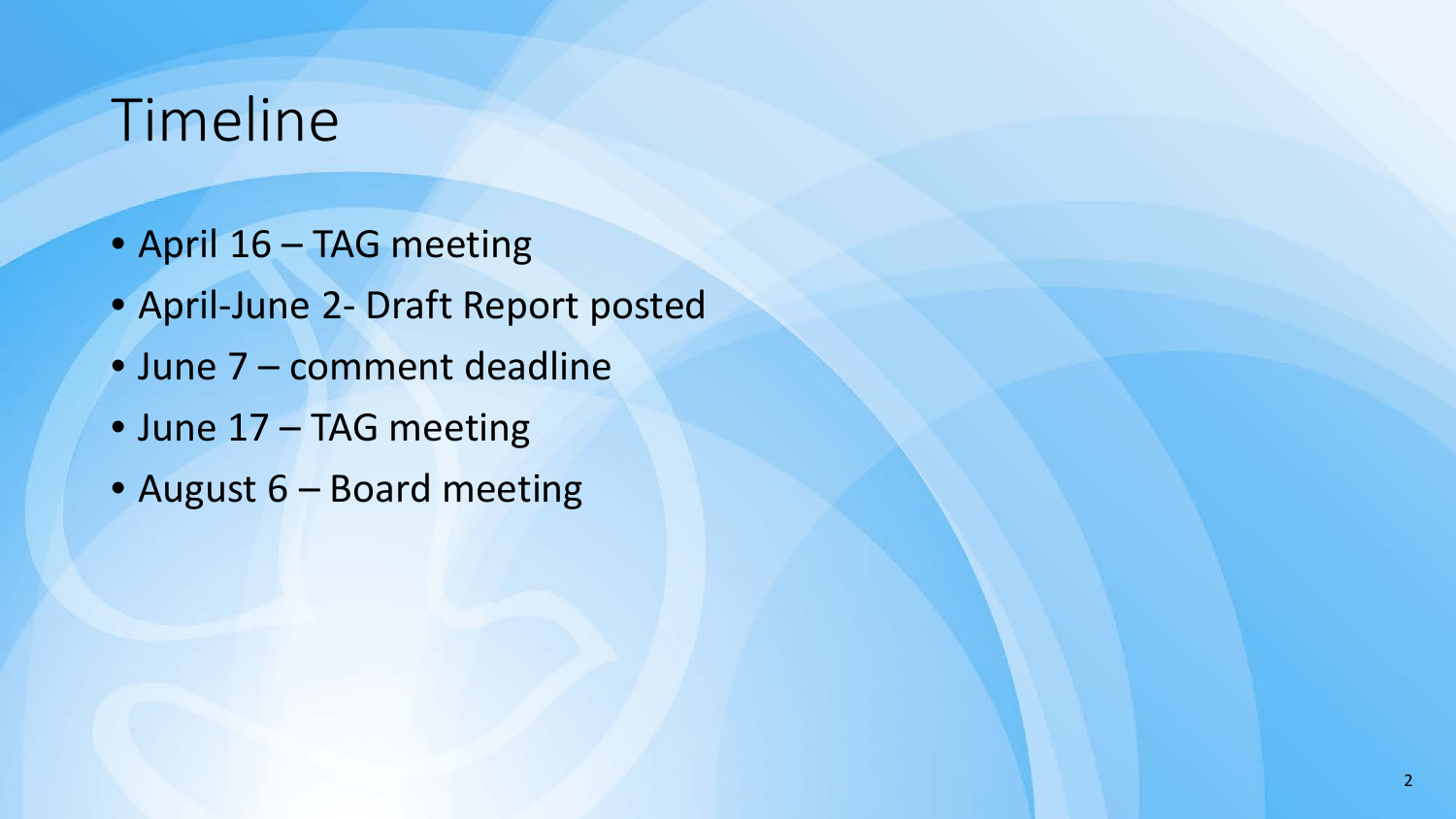# Timeline

- April 16 TAG meeting
- April-June 2- Draft Report posted
- June 7 comment deadline
- June 17 TAG meeting
- August 6 Board meeting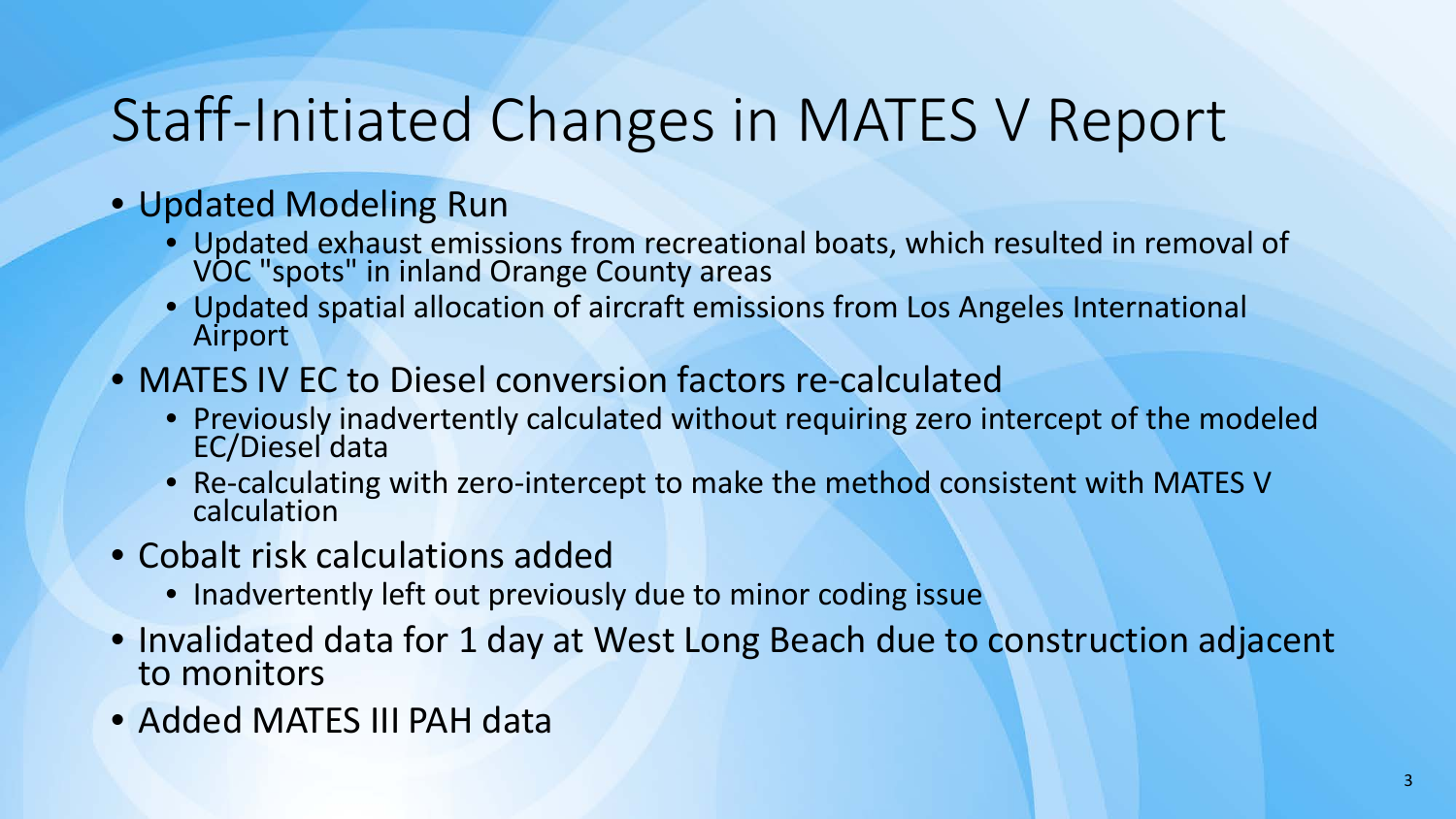# Staff-Initiated Changes in MATES V Report

#### • Updated Modeling Run

- Updated exhaust emissions from recreational boats, which resulted in removal of VOC "spots" in inland Orange County areas
- Updated spatial allocation of aircraft emissions from Los Angeles International Airport
- MATES IV EC to Diesel conversion factors re-calculated
	- Previously inadvertently calculated without requiring zero intercept of the modeled EC/Diesel data
	- Re-calculating with zero-intercept to make the method consistent with MATES V calculation
- Cobalt risk calculations added
	- Inadvertently left out previously due to minor coding issue
- Invalidated data for 1 day at West Long Beach due to construction adjacent to monitors
- Added MATES III PAH data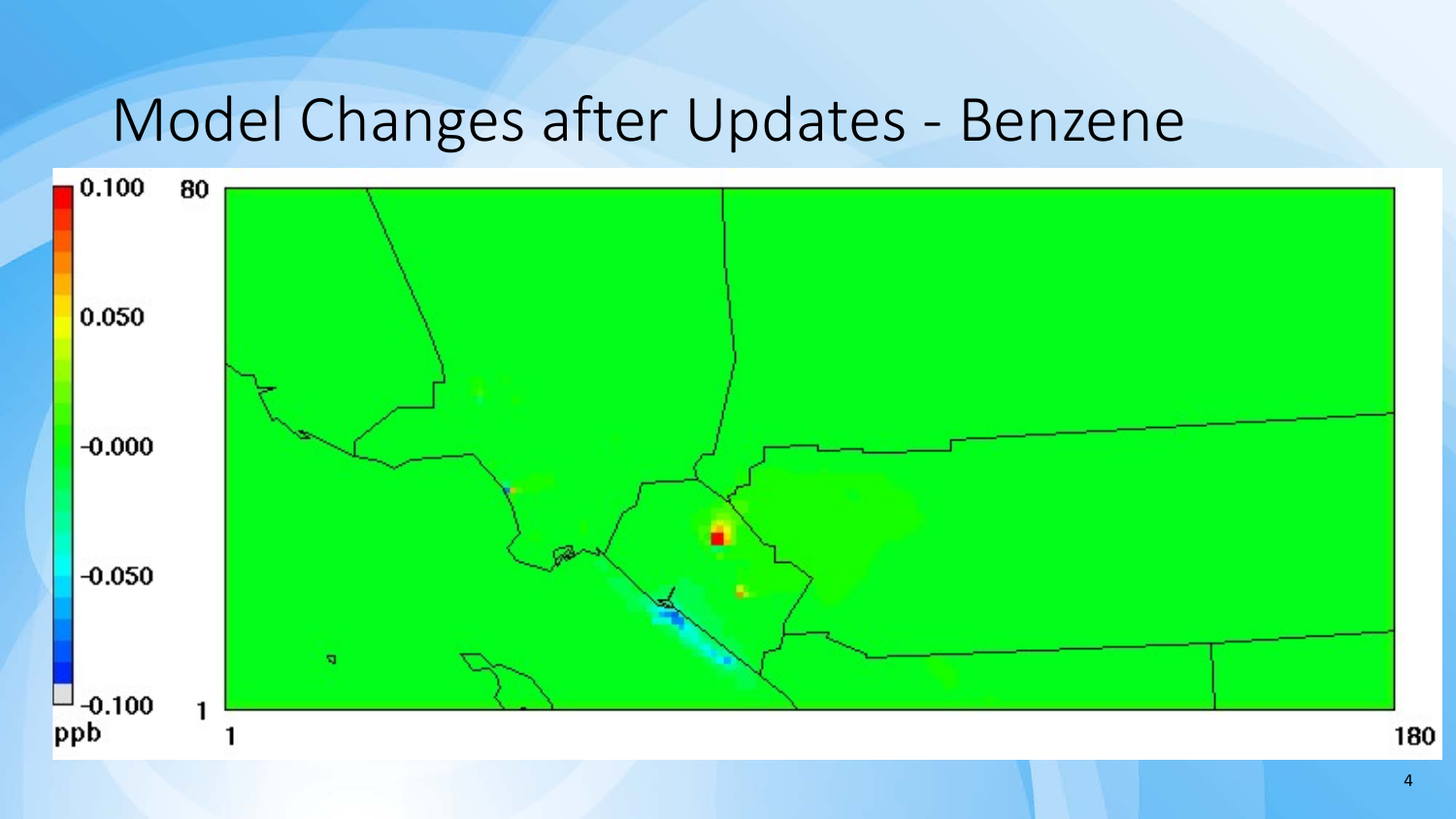## Model Changes after Updates - Benzene

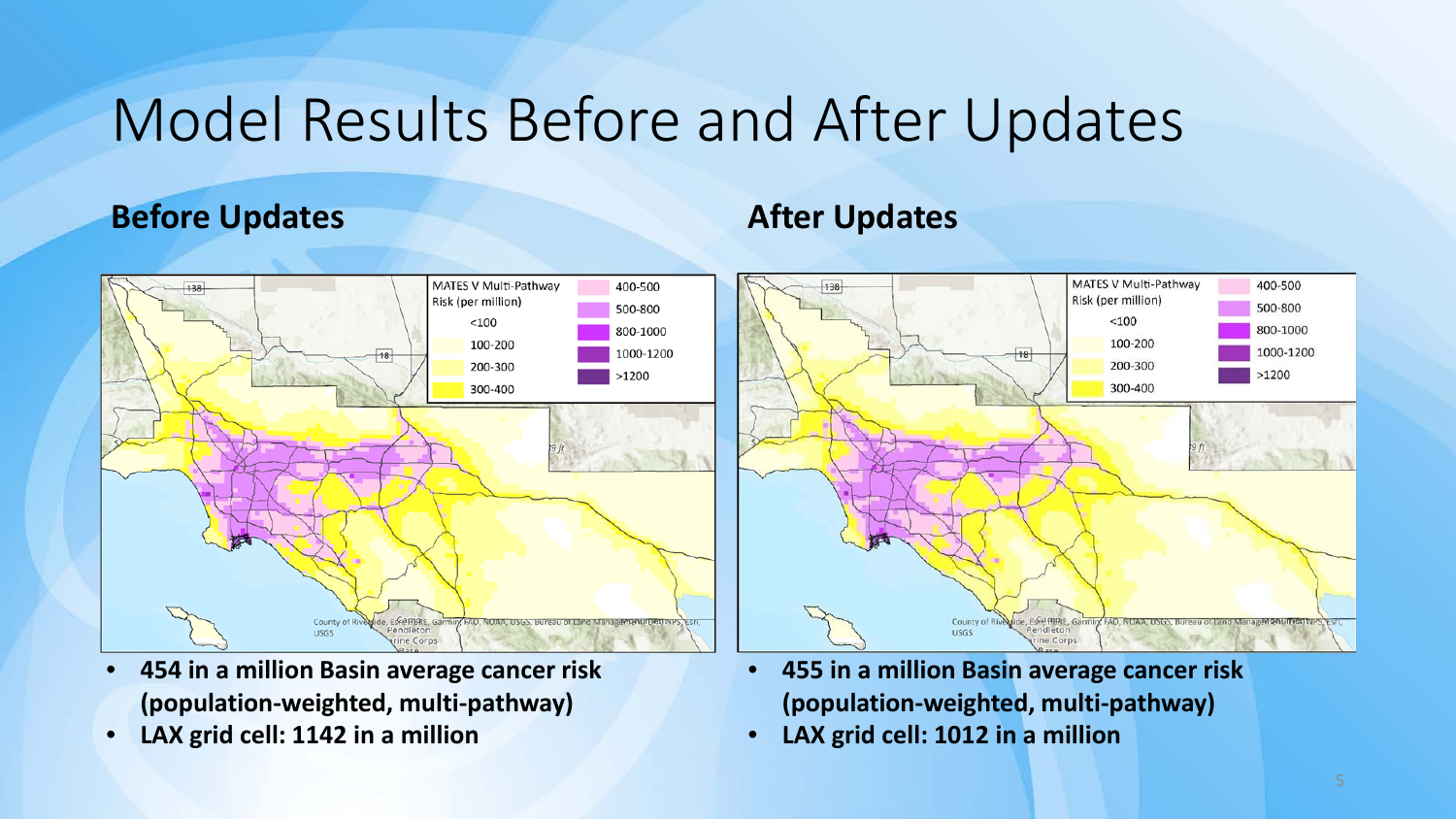# Model Results Before and After Updates

#### **Before Updates After Updates**



- **454 in a million Basin average cancer risk (population-weighted, multi-pathway)**
- **LAX grid cell: 1142 in a million**



- **455 in a million Basin average cancer risk (population-weighted, multi-pathway)**
- **LAX grid cell: 1012 in a million**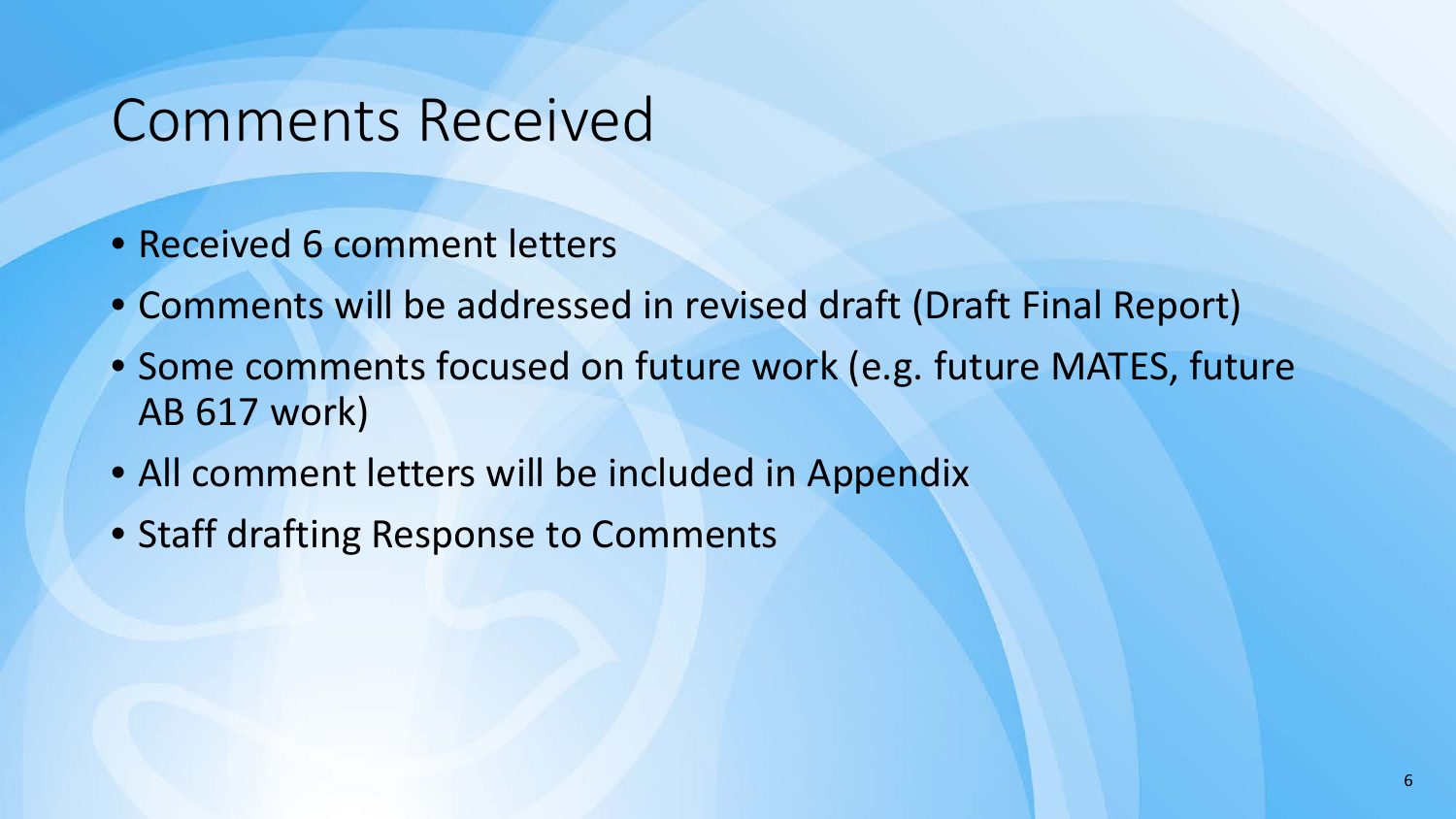#### Comments Received

- Received 6 comment letters
- Comments will be addressed in revised draft (Draft Final Report)
- Some comments focused on future work (e.g. future MATES, future AB 617 work)
- All comment letters will be included in Appendix
- Staff drafting Response to Comments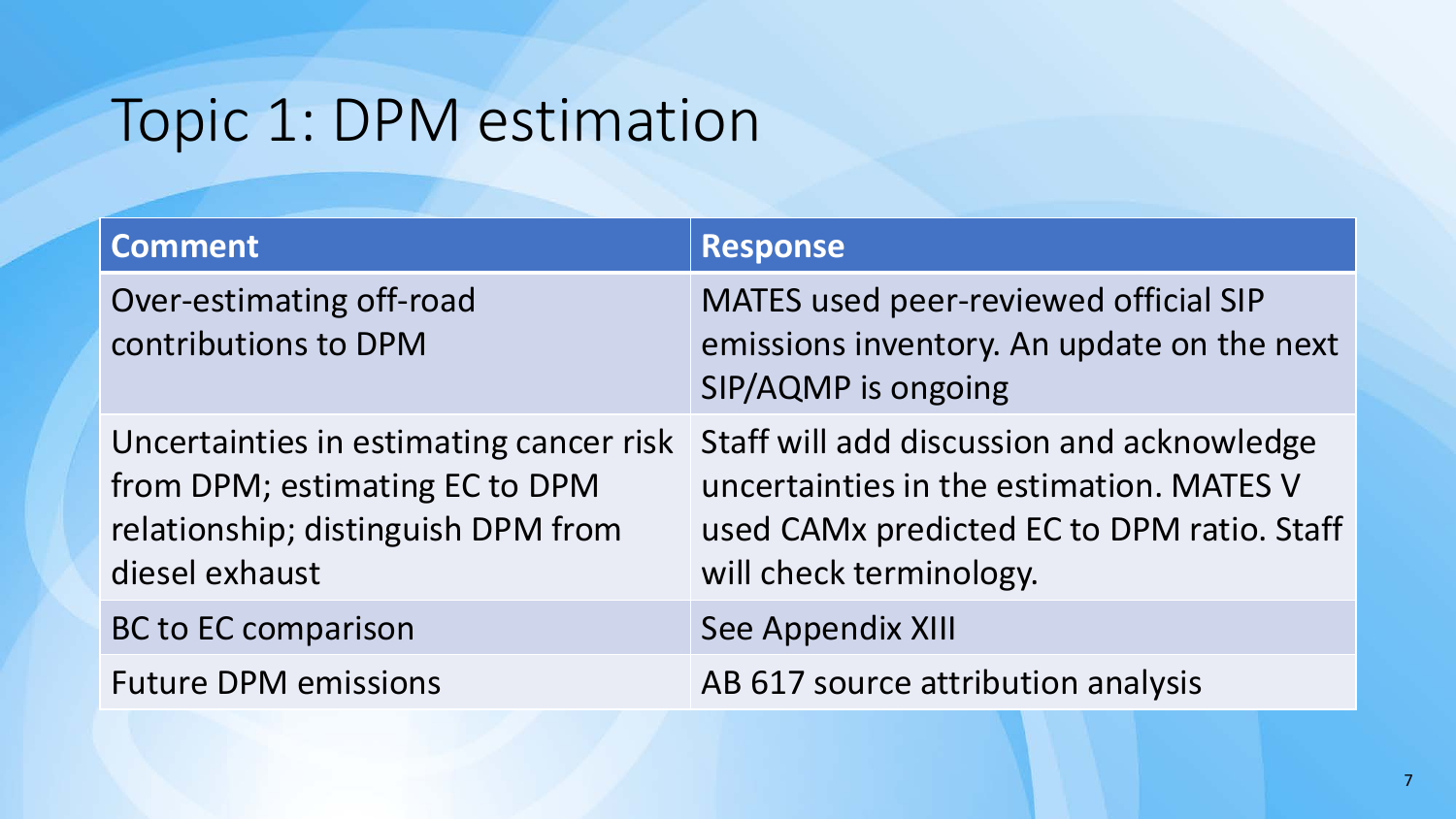# Topic 1: DPM estimation

| <b>Comment</b>                                                                                                                    | <b>Response</b>                                                                                                                                                |
|-----------------------------------------------------------------------------------------------------------------------------------|----------------------------------------------------------------------------------------------------------------------------------------------------------------|
| Over-estimating off-road<br>contributions to DPM                                                                                  | MATES used peer-reviewed official SIP<br>emissions inventory. An update on the next<br>SIP/AQMP is ongoing                                                     |
| Uncertainties in estimating cancer risk<br>from DPM; estimating EC to DPM<br>relationship; distinguish DPM from<br>diesel exhaust | Staff will add discussion and acknowledge<br>uncertainties in the estimation. MATES V<br>used CAMx predicted EC to DPM ratio. Staff<br>will check terminology. |
| <b>BC to EC comparison</b>                                                                                                        | See Appendix XIII                                                                                                                                              |
| <b>Future DPM emissions</b>                                                                                                       | AB 617 source attribution analysis                                                                                                                             |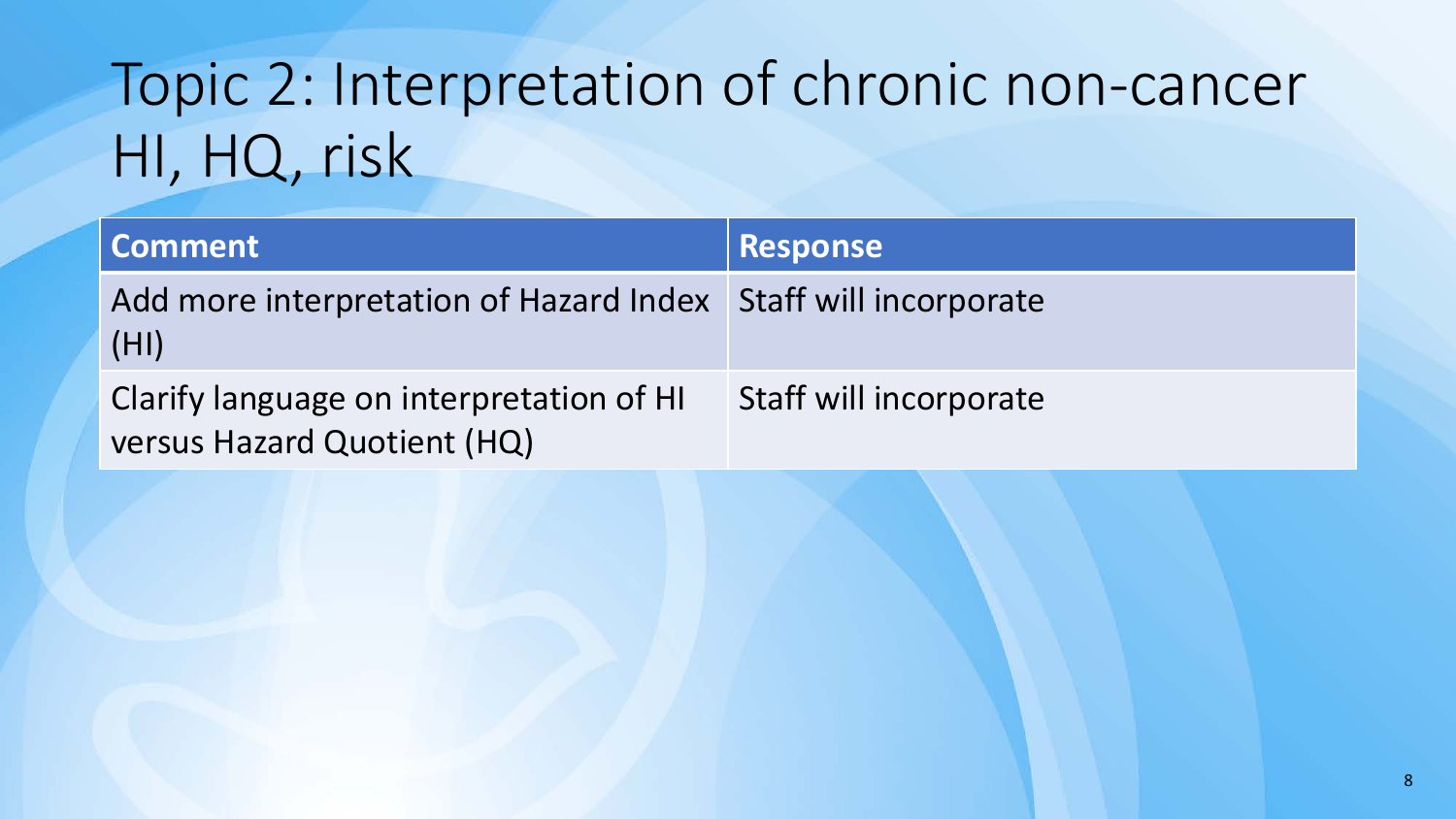# Topic 2: Interpretation of chronic non-cancer HI, HQ, risk

| <b>Comment</b>                                                          | <b>Response</b>        |
|-------------------------------------------------------------------------|------------------------|
| Add more interpretation of Hazard Index Staff will incorporate<br>(HI)  |                        |
| Clarify language on interpretation of HI<br>versus Hazard Quotient (HQ) | Staff will incorporate |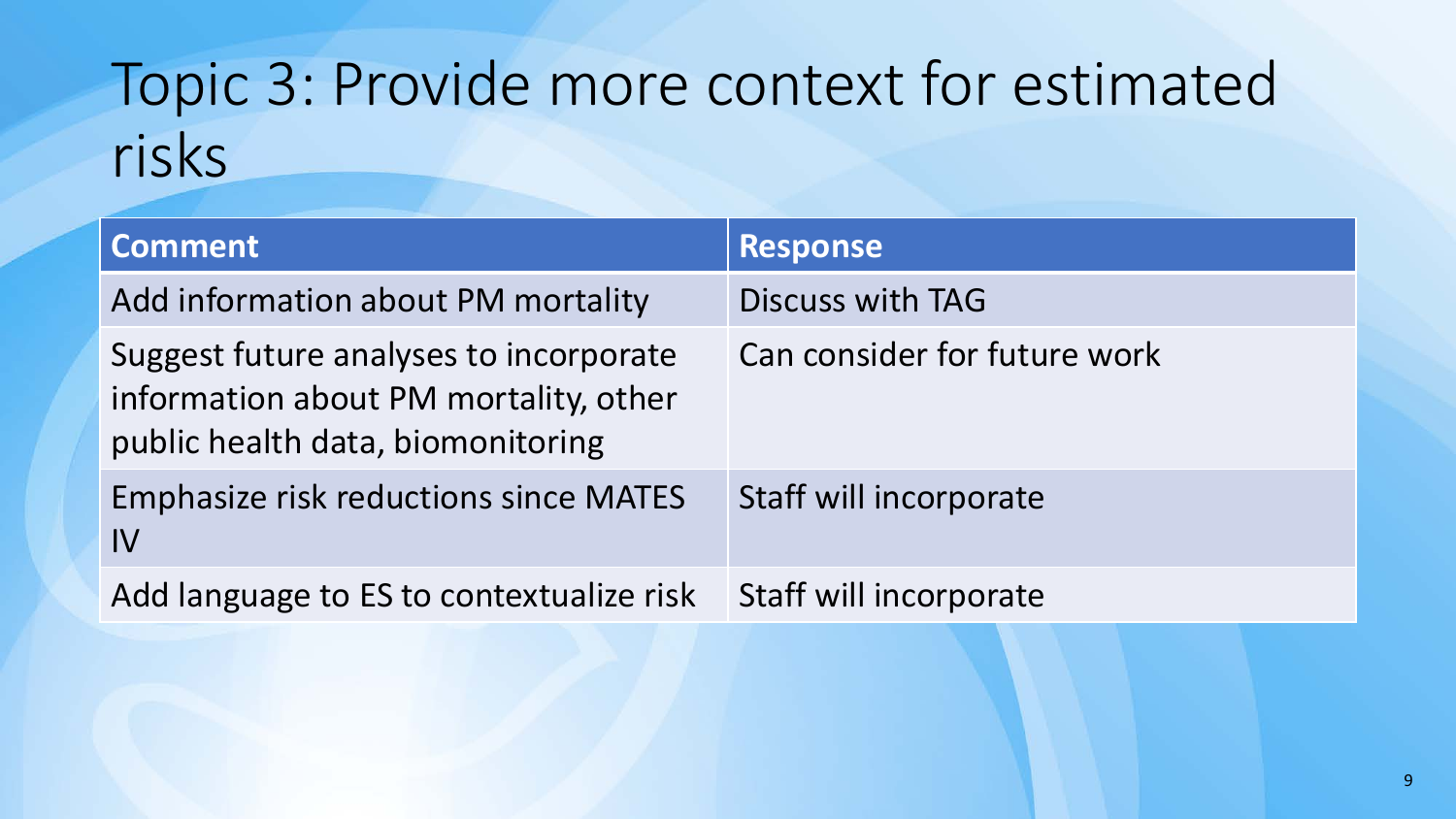# Topic 3: Provide more context for estimated risks

| <b>Comment</b>                                                                                                       | <b>Response</b>              |
|----------------------------------------------------------------------------------------------------------------------|------------------------------|
| Add information about PM mortality                                                                                   | <b>Discuss with TAG</b>      |
| Suggest future analyses to incorporate<br>information about PM mortality, other<br>public health data, biomonitoring | Can consider for future work |
| <b>Emphasize risk reductions since MATES</b><br>$\mathsf{IV}$                                                        | Staff will incorporate       |
| Add language to ES to contextualize risk                                                                             | Staff will incorporate       |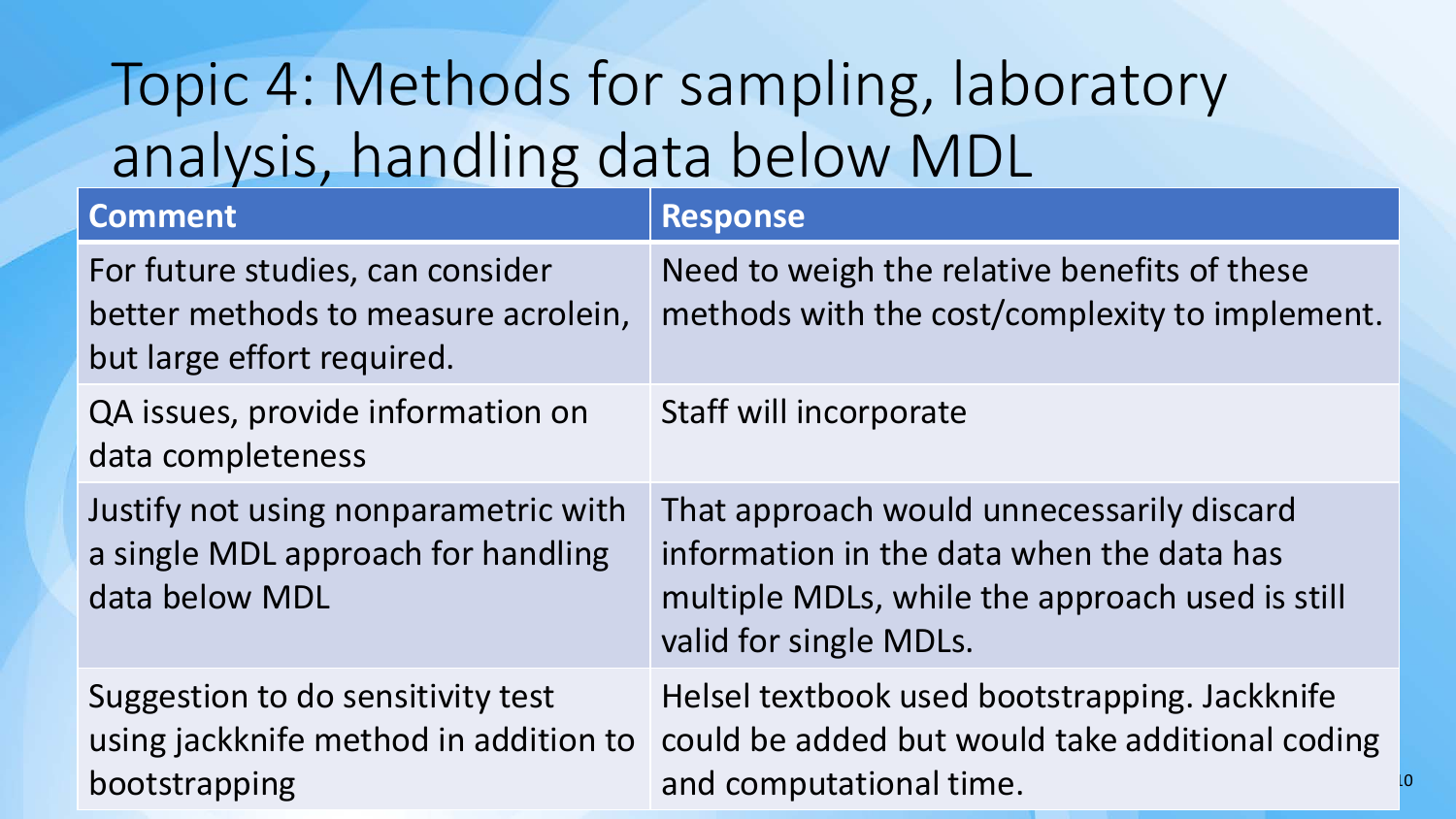# Topic 4: Methods for sampling, laboratory analysis, handling data below MDL

| <b>Comment</b>                                                                                        | <b>Response</b>                                                                                                                                                     |
|-------------------------------------------------------------------------------------------------------|---------------------------------------------------------------------------------------------------------------------------------------------------------------------|
| For future studies, can consider<br>better methods to measure acrolein,<br>but large effort required. | Need to weigh the relative benefits of these<br>methods with the cost/complexity to implement.                                                                      |
| QA issues, provide information on<br>data completeness                                                | Staff will incorporate                                                                                                                                              |
| Justify not using nonparametric with<br>a single MDL approach for handling<br>data below MDL          | That approach would unnecessarily discard<br>information in the data when the data has<br>multiple MDLs, while the approach used is still<br>valid for single MDLs. |
| Suggestion to do sensitivity test<br>using jackknife method in addition to<br>bootstrapping           | Helsel textbook used bootstrapping. Jackknife<br>could be added but would take additional coding<br>and computational time.                                         |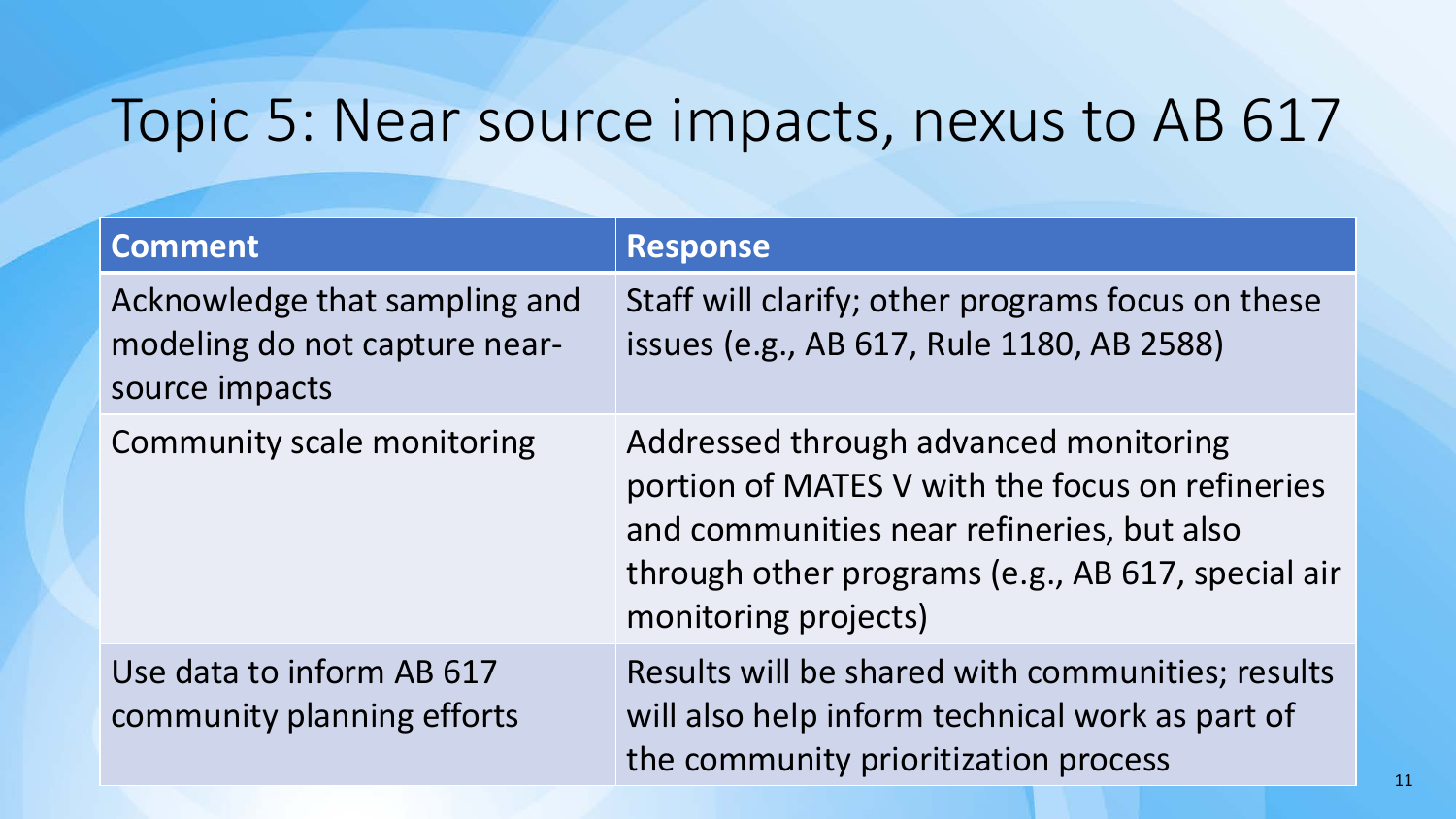## Topic 5: Near source impacts, nexus to AB 617

| <b>Comment</b>                                                                   | <b>Response</b>                                                                                                                                                                                                    |
|----------------------------------------------------------------------------------|--------------------------------------------------------------------------------------------------------------------------------------------------------------------------------------------------------------------|
| Acknowledge that sampling and<br>modeling do not capture near-<br>source impacts | Staff will clarify; other programs focus on these<br>issues (e.g., AB 617, Rule 1180, AB 2588)                                                                                                                     |
| Community scale monitoring                                                       | Addressed through advanced monitoring<br>portion of MATES V with the focus on refineries<br>and communities near refineries, but also<br>through other programs (e.g., AB 617, special air<br>monitoring projects) |
| Use data to inform AB 617<br>community planning efforts                          | Results will be shared with communities; results<br>will also help inform technical work as part of<br>the community prioritization process                                                                        |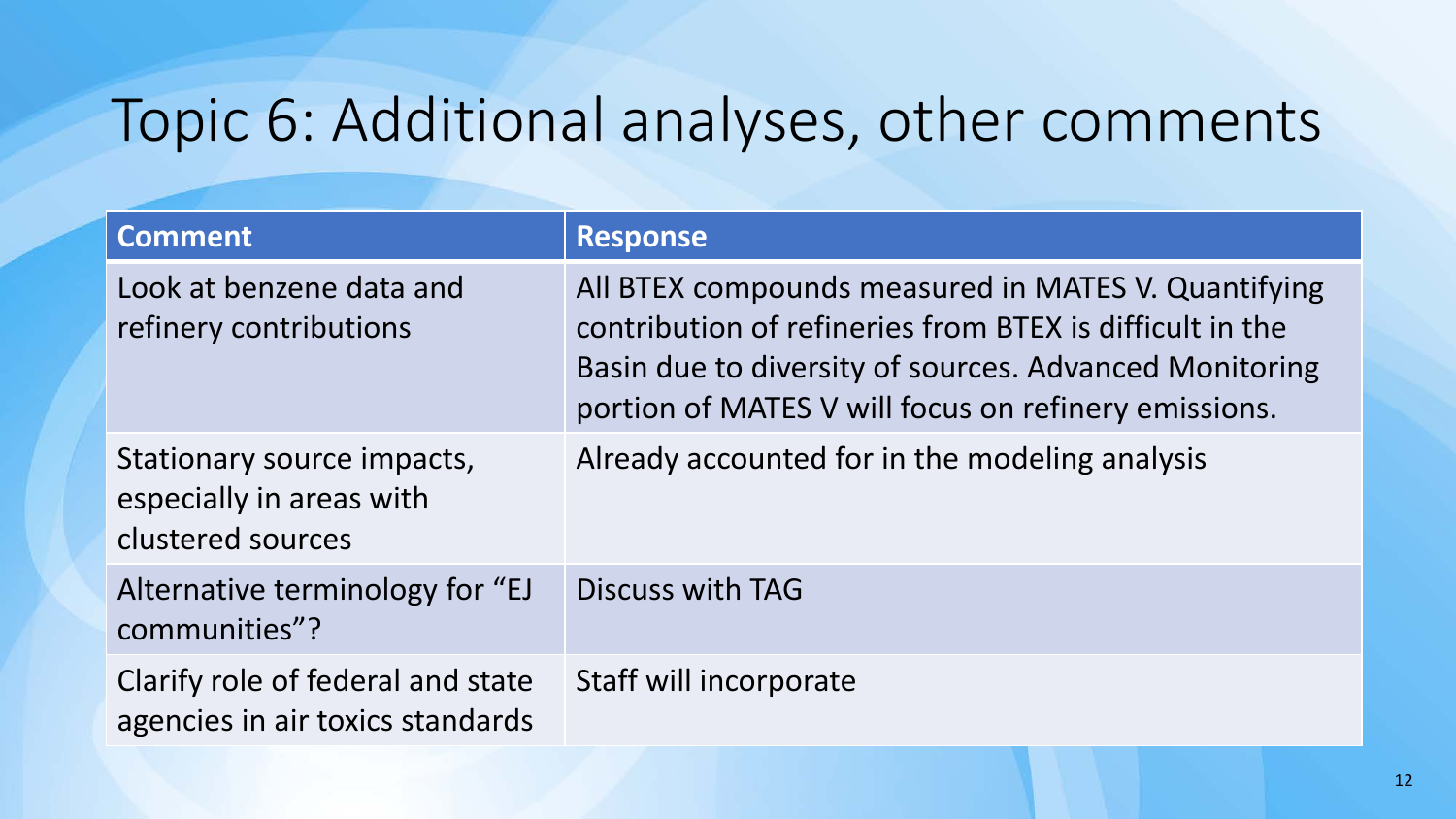# Topic 6: Additional analyses, other comments

| <b>Comment</b>                                                              | <b>Response</b>                                                                                                                                                                                                                   |
|-----------------------------------------------------------------------------|-----------------------------------------------------------------------------------------------------------------------------------------------------------------------------------------------------------------------------------|
| Look at benzene data and<br>refinery contributions                          | All BTEX compounds measured in MATES V. Quantifying<br>contribution of refineries from BTEX is difficult in the<br>Basin due to diversity of sources. Advanced Monitoring<br>portion of MATES V will focus on refinery emissions. |
| Stationary source impacts,<br>especially in areas with<br>clustered sources | Already accounted for in the modeling analysis                                                                                                                                                                                    |
| Alternative terminology for "EJ<br>communities"?                            | <b>Discuss with TAG</b>                                                                                                                                                                                                           |
| Clarify role of federal and state<br>agencies in air toxics standards       | Staff will incorporate                                                                                                                                                                                                            |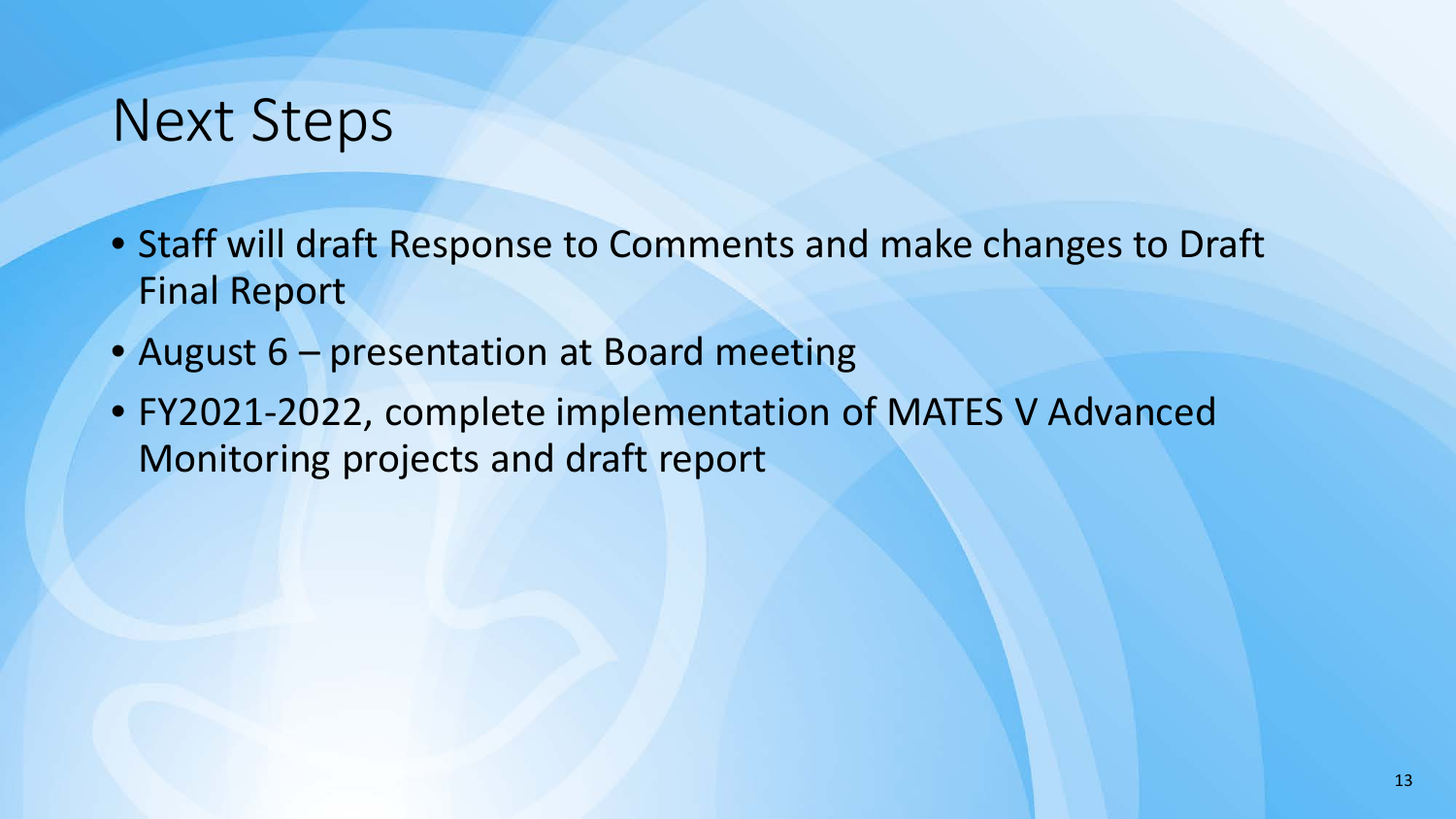## Next Steps

- Staff will draft Response to Comments and make changes to Draft Final Report
- August 6 presentation at Board meeting
- FY2021-2022, complete implementation of MATES V Advanced Monitoring projects and draft report